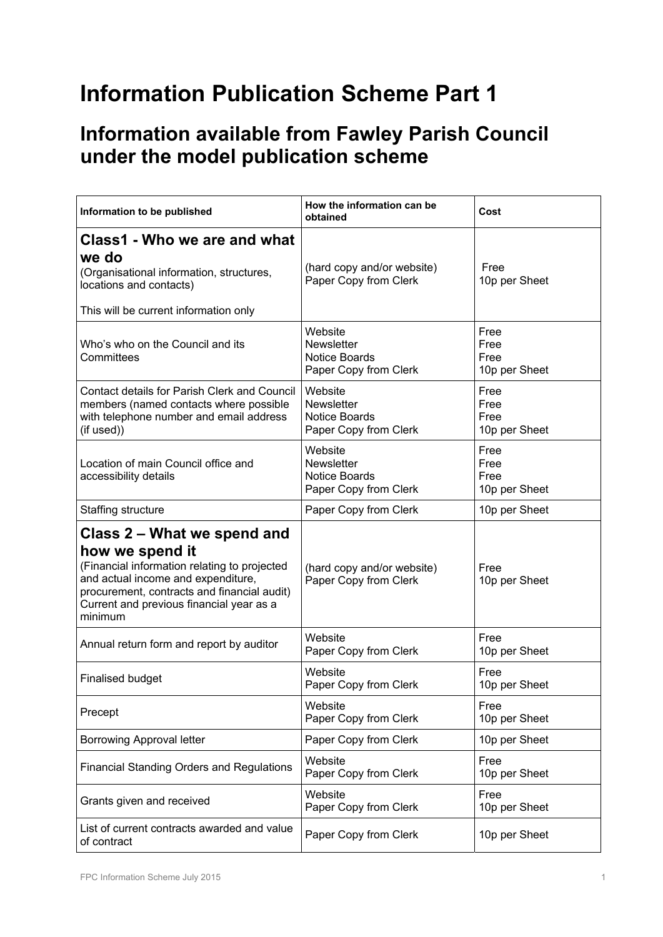## **Information Publication Scheme Part 1**

## **Information available from Fawley Parish Council under the model publication scheme**

| Information to be published                                                                                                                                                                                                                | How the information can be<br>obtained                                        | Cost                                  |  |
|--------------------------------------------------------------------------------------------------------------------------------------------------------------------------------------------------------------------------------------------|-------------------------------------------------------------------------------|---------------------------------------|--|
| Class1 - Who we are and what<br>we do<br>(Organisational information, structures,<br>locations and contacts)<br>This will be current information only                                                                                      | (hard copy and/or website)<br>Paper Copy from Clerk                           | Free<br>10p per Sheet                 |  |
| Who's who on the Council and its<br>Committees                                                                                                                                                                                             | Website<br><b>Newsletter</b><br>Notice Boards<br>Paper Copy from Clerk        | Free<br>Free<br>Free<br>10p per Sheet |  |
| Contact details for Parish Clerk and Council<br>members (named contacts where possible<br>with telephone number and email address<br>(if used))                                                                                            | Website<br><b>Newsletter</b><br><b>Notice Boards</b><br>Paper Copy from Clerk | Free<br>Free<br>Free<br>10p per Sheet |  |
| Location of main Council office and<br>accessibility details                                                                                                                                                                               | Website<br><b>Newsletter</b><br>Notice Boards<br>Paper Copy from Clerk        | Free<br>Free<br>Free<br>10p per Sheet |  |
| Staffing structure                                                                                                                                                                                                                         | Paper Copy from Clerk                                                         | 10p per Sheet                         |  |
| Class 2 – What we spend and<br>how we spend it<br>(Financial information relating to projected<br>and actual income and expenditure,<br>procurement, contracts and financial audit)<br>Current and previous financial year as a<br>minimum | (hard copy and/or website)<br>Paper Copy from Clerk                           | Free<br>10p per Sheet                 |  |
| Annual return form and report by auditor                                                                                                                                                                                                   | Website<br>Paper Copy from Clerk                                              | Free<br>10p per Sheet                 |  |
| <b>Finalised budget</b>                                                                                                                                                                                                                    | Website<br>Paper Copy from Clerk                                              | Free<br>10p per Sheet                 |  |
| Precept                                                                                                                                                                                                                                    | Website<br>Paper Copy from Clerk                                              | Free<br>10p per Sheet                 |  |
| <b>Borrowing Approval letter</b>                                                                                                                                                                                                           | Paper Copy from Clerk                                                         | 10p per Sheet                         |  |
| <b>Financial Standing Orders and Regulations</b>                                                                                                                                                                                           | Website<br>Paper Copy from Clerk                                              | Free<br>10p per Sheet                 |  |
| Grants given and received                                                                                                                                                                                                                  | Website<br>Paper Copy from Clerk                                              | Free<br>10p per Sheet                 |  |
| List of current contracts awarded and value<br>of contract                                                                                                                                                                                 | Paper Copy from Clerk                                                         | 10p per Sheet                         |  |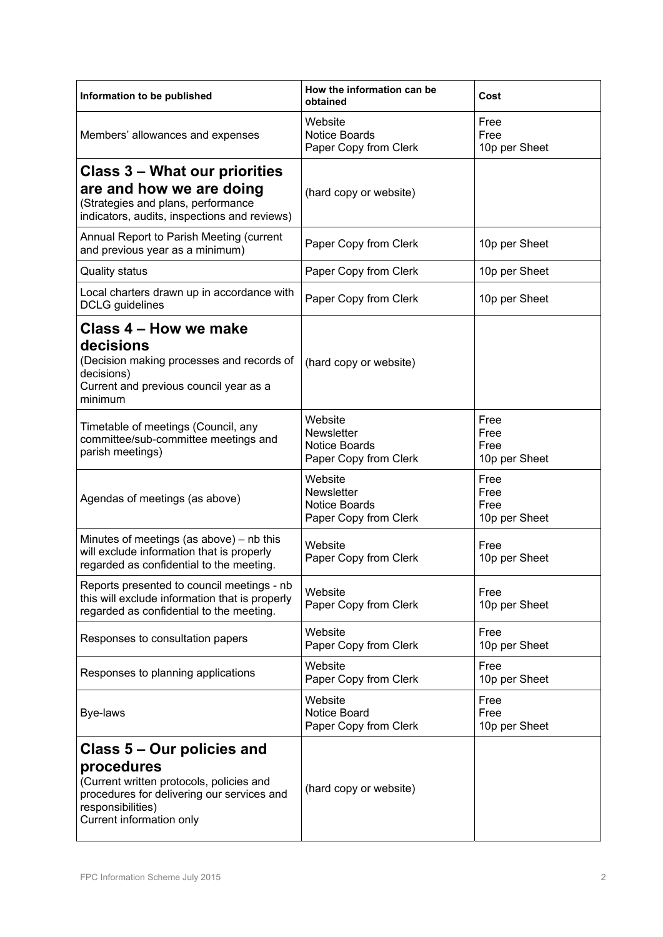| Information to be published                                                                                                                                                         | How the information can be<br>obtained                                        | Cost                                  |  |
|-------------------------------------------------------------------------------------------------------------------------------------------------------------------------------------|-------------------------------------------------------------------------------|---------------------------------------|--|
| Members' allowances and expenses                                                                                                                                                    | Website<br><b>Notice Boards</b><br>Paper Copy from Clerk                      | Free<br>Free<br>10p per Sheet         |  |
| <b>Class 3 - What our priorities</b><br>are and how we are doing<br>(Strategies and plans, performance<br>indicators, audits, inspections and reviews)                              | (hard copy or website)                                                        |                                       |  |
| Annual Report to Parish Meeting (current<br>and previous year as a minimum)                                                                                                         | Paper Copy from Clerk                                                         | 10p per Sheet                         |  |
| <b>Quality status</b>                                                                                                                                                               | Paper Copy from Clerk                                                         | 10p per Sheet                         |  |
| Local charters drawn up in accordance with<br><b>DCLG</b> guidelines                                                                                                                | Paper Copy from Clerk                                                         | 10p per Sheet                         |  |
| Class 4 – How we make<br>decisions<br>(Decision making processes and records of<br>decisions)<br>Current and previous council year as a<br>minimum                                  | (hard copy or website)                                                        |                                       |  |
| Timetable of meetings (Council, any<br>committee/sub-committee meetings and<br>parish meetings)                                                                                     | Website<br><b>Newsletter</b><br><b>Notice Boards</b><br>Paper Copy from Clerk | Free<br>Free<br>Free<br>10p per Sheet |  |
| Agendas of meetings (as above)                                                                                                                                                      | Website<br><b>Newsletter</b><br><b>Notice Boards</b><br>Paper Copy from Clerk | Free<br>Free<br>Free<br>10p per Sheet |  |
| Minutes of meetings (as above) – nb this<br>will exclude information that is properly<br>regarded as confidential to the meeting.                                                   | Website<br>Paper Copy from Clerk                                              | Free<br>10p per Sheet                 |  |
| Reports presented to council meetings - nb<br>this will exclude information that is properly<br>regarded as confidential to the meeting.                                            | Website<br>Paper Copy from Clerk                                              | Free<br>10p per Sheet                 |  |
| Responses to consultation papers                                                                                                                                                    | Website<br>Paper Copy from Clerk                                              | Free<br>10p per Sheet                 |  |
| Responses to planning applications                                                                                                                                                  | Website<br>Paper Copy from Clerk                                              | Free<br>10p per Sheet                 |  |
| Bye-laws                                                                                                                                                                            | Website<br><b>Notice Board</b><br>Paper Copy from Clerk                       | Free<br>Free<br>10p per Sheet         |  |
| Class 5 – Our policies and<br>procedures<br>(Current written protocols, policies and<br>procedures for delivering our services and<br>responsibilities)<br>Current information only | (hard copy or website)                                                        |                                       |  |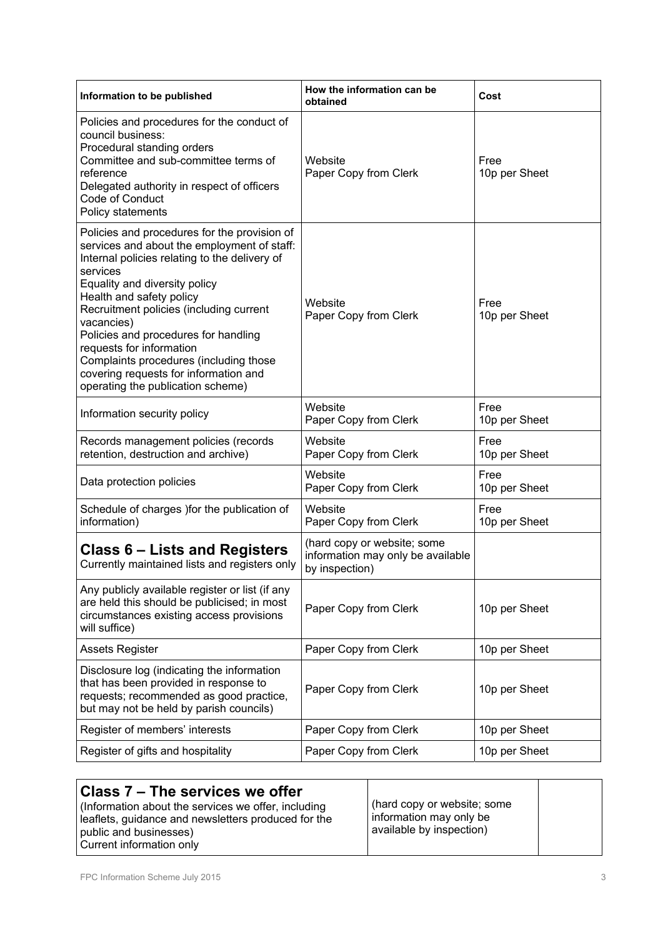| Information to be published                                                                                                                                                                                                                                                                                                                                                                                                                                                | How the information can be<br>obtained                                             | Cost                  |  |
|----------------------------------------------------------------------------------------------------------------------------------------------------------------------------------------------------------------------------------------------------------------------------------------------------------------------------------------------------------------------------------------------------------------------------------------------------------------------------|------------------------------------------------------------------------------------|-----------------------|--|
| Policies and procedures for the conduct of<br>council business:<br>Procedural standing orders<br>Committee and sub-committee terms of<br>reference<br>Delegated authority in respect of officers<br>Code of Conduct<br>Policy statements                                                                                                                                                                                                                                   | Website<br>Paper Copy from Clerk                                                   | Free<br>10p per Sheet |  |
| Policies and procedures for the provision of<br>services and about the employment of staff:<br>Internal policies relating to the delivery of<br>services<br>Equality and diversity policy<br>Health and safety policy<br>Recruitment policies (including current<br>vacancies)<br>Policies and procedures for handling<br>requests for information<br>Complaints procedures (including those<br>covering requests for information and<br>operating the publication scheme) | Website<br>Paper Copy from Clerk                                                   | Free<br>10p per Sheet |  |
| Information security policy                                                                                                                                                                                                                                                                                                                                                                                                                                                | Website<br>Paper Copy from Clerk                                                   | Free<br>10p per Sheet |  |
| Records management policies (records<br>retention, destruction and archive)                                                                                                                                                                                                                                                                                                                                                                                                | Website<br>Paper Copy from Clerk                                                   | Free<br>10p per Sheet |  |
| Data protection policies                                                                                                                                                                                                                                                                                                                                                                                                                                                   | Website<br>Paper Copy from Clerk                                                   | Free<br>10p per Sheet |  |
| Schedule of charges ) for the publication of<br>information)                                                                                                                                                                                                                                                                                                                                                                                                               | Website<br>Paper Copy from Clerk                                                   | Free<br>10p per Sheet |  |
| Class 6 – Lists and Registers<br>Currently maintained lists and registers only                                                                                                                                                                                                                                                                                                                                                                                             | (hard copy or website; some<br>information may only be available<br>by inspection) |                       |  |
| Any publicly available register or list (if any<br>are held this should be publicised; in most<br>circumstances existing access provisions<br>will suffice)                                                                                                                                                                                                                                                                                                                | Paper Copy from Clerk                                                              | 10p per Sheet         |  |
| <b>Assets Register</b>                                                                                                                                                                                                                                                                                                                                                                                                                                                     | Paper Copy from Clerk                                                              | 10p per Sheet         |  |
| Disclosure log (indicating the information<br>that has been provided in response to<br>requests; recommended as good practice,<br>but may not be held by parish councils)                                                                                                                                                                                                                                                                                                  | Paper Copy from Clerk                                                              | 10p per Sheet         |  |
| Register of members' interests                                                                                                                                                                                                                                                                                                                                                                                                                                             | Paper Copy from Clerk                                                              | 10p per Sheet         |  |
| Register of gifts and hospitality                                                                                                                                                                                                                                                                                                                                                                                                                                          | Paper Copy from Clerk                                                              | 10p per Sheet         |  |

| Class 7 – The services we offer<br>(Information about the services we offer, including<br>leaflets, guidance and newsletters produced for the<br>public and businesses)<br>Current information only | (hard copy or website; some<br>information may only be<br>available by inspection) |  |
|-----------------------------------------------------------------------------------------------------------------------------------------------------------------------------------------------------|------------------------------------------------------------------------------------|--|
|-----------------------------------------------------------------------------------------------------------------------------------------------------------------------------------------------------|------------------------------------------------------------------------------------|--|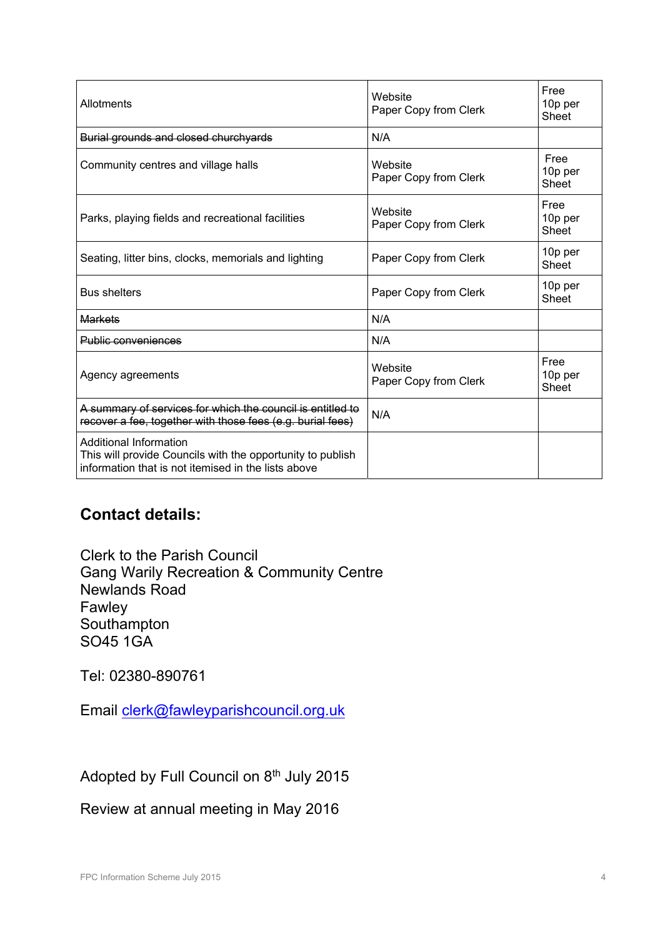| Allotments                                                                                                                                  | Website<br>Paper Copy from Clerk | Free<br>10p per<br>Sheet |
|---------------------------------------------------------------------------------------------------------------------------------------------|----------------------------------|--------------------------|
| Burial grounds and closed churchyards                                                                                                       | N/A                              |                          |
| Community centres and village halls                                                                                                         | Website<br>Paper Copy from Clerk | Free<br>10p per<br>Sheet |
| Parks, playing fields and recreational facilities                                                                                           | Website<br>Paper Copy from Clerk | Free<br>10p per<br>Sheet |
| Seating, litter bins, clocks, memorials and lighting                                                                                        | Paper Copy from Clerk            | 10p per<br>Sheet         |
| <b>Bus shelters</b>                                                                                                                         | Paper Copy from Clerk            | 10p per<br><b>Sheet</b>  |
| <b>Markets</b>                                                                                                                              | N/A                              |                          |
| Public conveniences                                                                                                                         | N/A                              |                          |
| Agency agreements                                                                                                                           | Website<br>Paper Copy from Clerk | Free<br>10p per<br>Sheet |
| A summary of services for which the council is entitled to<br>recover a fee, together with those fees (e.g. burial fees)                    | N/A                              |                          |
| Additional Information<br>This will provide Councils with the opportunity to publish<br>information that is not itemised in the lists above |                                  |                          |

## **Contact details:**

Clerk to the Parish Council Gang Warily Recreation & Community Centre Newlands Road Fawley Southampton SO45 1GA

Tel: 02380-890761

Email clerk@fawleyparishcouncil.org.uk

Adopted by Full Council on 8th July 2015

Review at annual meeting in May 2016